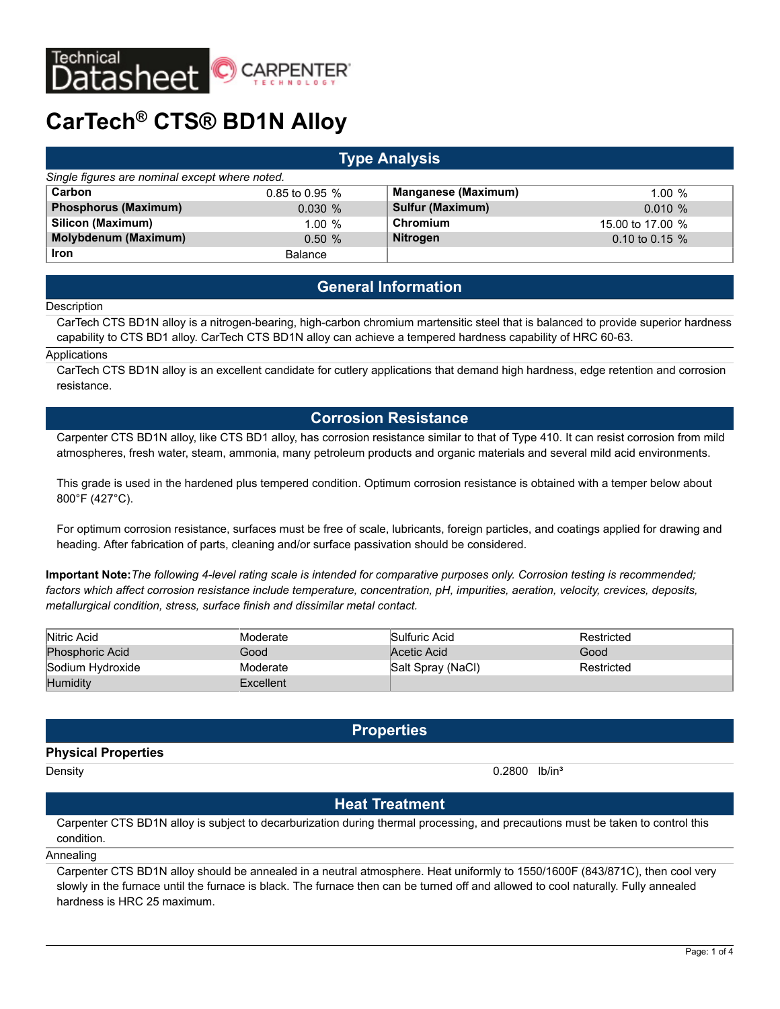

# **CarTech® CTS® BD1N Alloy**

# **Type Analysis** *Single figures are nominal except where noted.* **Carbon** 0.85 to 0.95 % **Manganese (Maximum)** 1.00 % **Phosphorus (Maximum)** 0.030 % **Sulfur (Maximum)** 0.010 % **Silicon (Maximum)** 1.00 % **Chromium** 15.00 to 17.00 % **Molybdenum (Maximum)** 0.50 % **Nitrogen** 0.10 to 0.15 % **Iron** Balance

# **General Information**

#### **Description**

CarTech CTS BD1N alloy is a nitrogen-bearing, high-carbon chromium martensitic steel that is balanced to provide superior hardness capability to CTS BD1 alloy. CarTech CTS BD1N alloy can achieve a tempered hardness capability of HRC 60-63.

#### Applications

CarTech CTS BD1N alloy is an excellent candidate for cutlery applications that demand high hardness, edge retention and corrosion resistance.

# **Corrosion Resistance**

Carpenter CTS BD1N alloy, like CTS BD1 alloy, has corrosion resistance similar to that of Type 410. It can resist corrosion from mild atmospheres, fresh water, steam, ammonia, many petroleum products and organic materials and several mild acid environments.

This grade is used in the hardened plus tempered condition. Optimum corrosion resistance is obtained with a temper below about 800°F (427°C).

For optimum corrosion resistance, surfaces must be free of scale, lubricants, foreign particles, and coatings applied for drawing and heading. After fabrication of parts, cleaning and/or surface passivation should be considered.

**Important Note:***The following 4-level rating scale is intended for comparative purposes only. Corrosion testing is recommended; factors which affect corrosion resistance include temperature, concentration, pH, impurities, aeration, velocity, crevices, deposits, metallurgical condition, stress, surface finish and dissimilar metal contact.*

| Nitric Acid            | Moderate  | Sulfuric Acid     | Restricted |
|------------------------|-----------|-------------------|------------|
| <b>Phosphoric Acid</b> | Good      | Acetic Acid       | Good       |
| Sodium Hydroxide       | Moderate  | Salt Spray (NaCl) | Restricted |
| <b>Humidity</b>        | Excellent |                   |            |

# **Properties**

#### **Physical Properties**

Density **Density** 2.2800 lb/in<sup>3</sup>

# **Heat Treatment**

Carpenter CTS BD1N alloy is subject to decarburization during thermal processing, and precautions must be taken to control this condition.

Annealing

Carpenter CTS BD1N alloy should be annealed in a neutral atmosphere. Heat uniformly to 1550/1600F (843/871C), then cool very slowly in the furnace until the furnace is black. The furnace then can be turned off and allowed to cool naturally. Fully annealed hardness is HRC 25 maximum.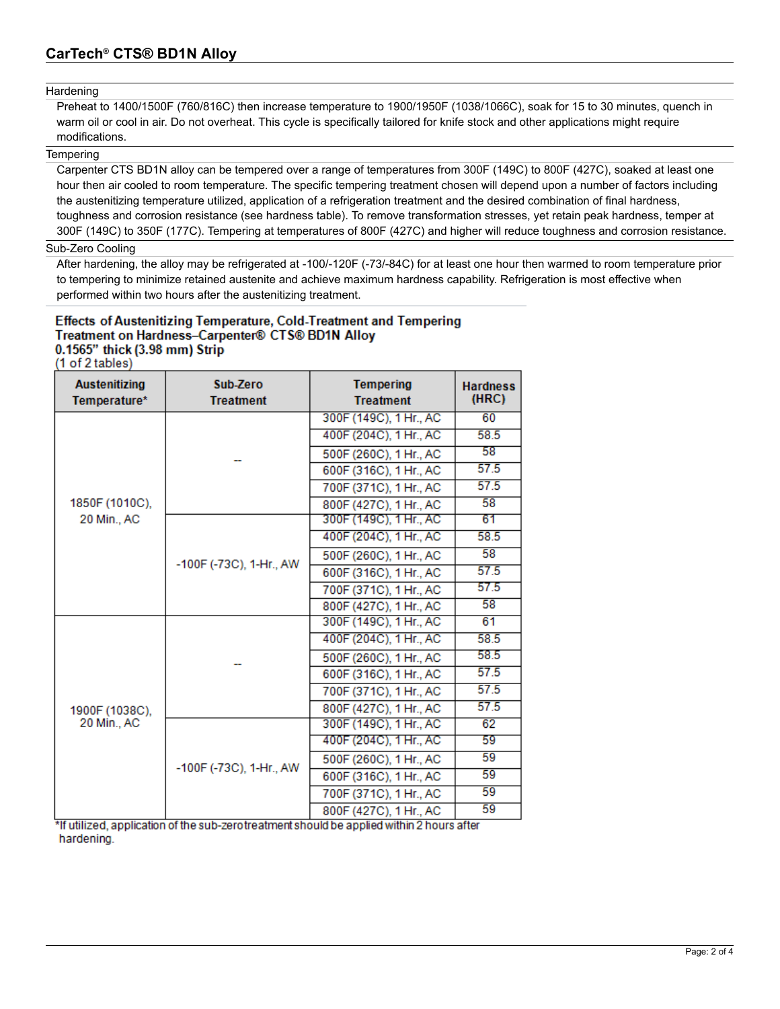#### Hardening

Preheat to 1400/1500F (760/816C) then increase temperature to 1900/1950F (1038/1066C), soak for 15 to 30 minutes, quench in warm oil or cool in air. Do not overheat. This cycle is specifically tailored for knife stock and other applications might require modifications.

#### **Tempering**

Carpenter CTS BD1N alloy can be tempered over a range of temperatures from 300F (149C) to 800F (427C), soaked at least one hour then air cooled to room temperature. The specific tempering treatment chosen will depend upon a number of factors including the austenitizing temperature utilized, application of a refrigeration treatment and the desired combination of final hardness, toughness and corrosion resistance (see hardness table). To remove transformation stresses, yet retain peak hardness, temper at 300F (149C) to 350F (177C). Tempering at temperatures of 800F (427C) and higher will reduce toughness and corrosion resistance.

### Sub-Zero Cooling

After hardening, the alloy may be refrigerated at -100/-120F (-73/-84C) for at least one hour then warmed to room temperature prior to tempering to minimize retained austenite and achieve maximum hardness capability. Refrigeration is most effective when performed within two hours after the austenitizing treatment.

# **Effects of Austenitizing Temperature, Cold-Treatment and Tempering** Treatment on Hardness-Carpenter® CTS® BD1N Alloy 0.1565" thick (3.98 mm) Strip

(1 of 2 tables)

| <b>Austenitizing</b><br>Temperature* | Sub-Zero<br><b>Treatment</b> | <b>Tempering</b><br><b>Treatment</b> | <b>Hardness</b><br>(HRC) |
|--------------------------------------|------------------------------|--------------------------------------|--------------------------|
| 1850F (1010C),<br>20 Min., AC        |                              | 300F (149C), 1 Hr., AC               | 60                       |
|                                      |                              | 400F (204C), 1 Hr., AC               | 58.5                     |
|                                      |                              | 500F (260C), 1 Hr., AC               | 58                       |
|                                      |                              | 600F (316C), 1 Hr., AC               | 57.5                     |
|                                      |                              | 700F (371C), 1 Hr., AC               | 57.5                     |
|                                      |                              | 800F (427C), 1 Hr., AC               | 58                       |
|                                      | -100F (-73C), 1-Hr., AW      | 300F (149C), 1 Hr., AC               | 61                       |
|                                      |                              | 400F (204C), 1 Hr., AC               | 58.5                     |
|                                      |                              | 500F (260C), 1 Hr., AC               | 58                       |
|                                      |                              | 600F (316C), 1 Hr., AC               | 57.5                     |
|                                      |                              | 700F (371C), 1 Hr., AC               | 57.5                     |
|                                      |                              | 800F (427C), 1 Hr., AC               | 58                       |
| 1900F (1038C),<br>20 Min., AC        |                              | 300F (149C), 1 Hr., AC               | 61                       |
|                                      |                              | 400F (204C), 1 Hr., AC               | 58.5                     |
|                                      |                              | 500F (260C), 1 Hr., AC               | 58.5                     |
|                                      |                              | 600F (316C), 1 Hr., AC               | 57.5                     |
|                                      |                              | 700F (371C), 1 Hr., AC               | 57.5                     |
|                                      |                              | 800F (427C), 1 Hr., AC               | 57.5                     |
|                                      | -100F (-73C), 1-Hr., AW      | 300F (149C), 1 Hr., AC               | 62                       |
|                                      |                              | 400F (204C), 1 Hr., AC               | 59                       |
|                                      |                              | 500F (260C), 1 Hr., AC               | 59                       |
|                                      |                              | 600F (316C), 1 Hr., AC               | 59                       |
|                                      |                              | 700F (371C), 1 Hr., AC               | 59                       |
|                                      |                              | 800F (427C), 1 Hr., AC               | 59                       |

\*If utilized, application of the sub-zerotreatment should be applied within 2 hours after hardening.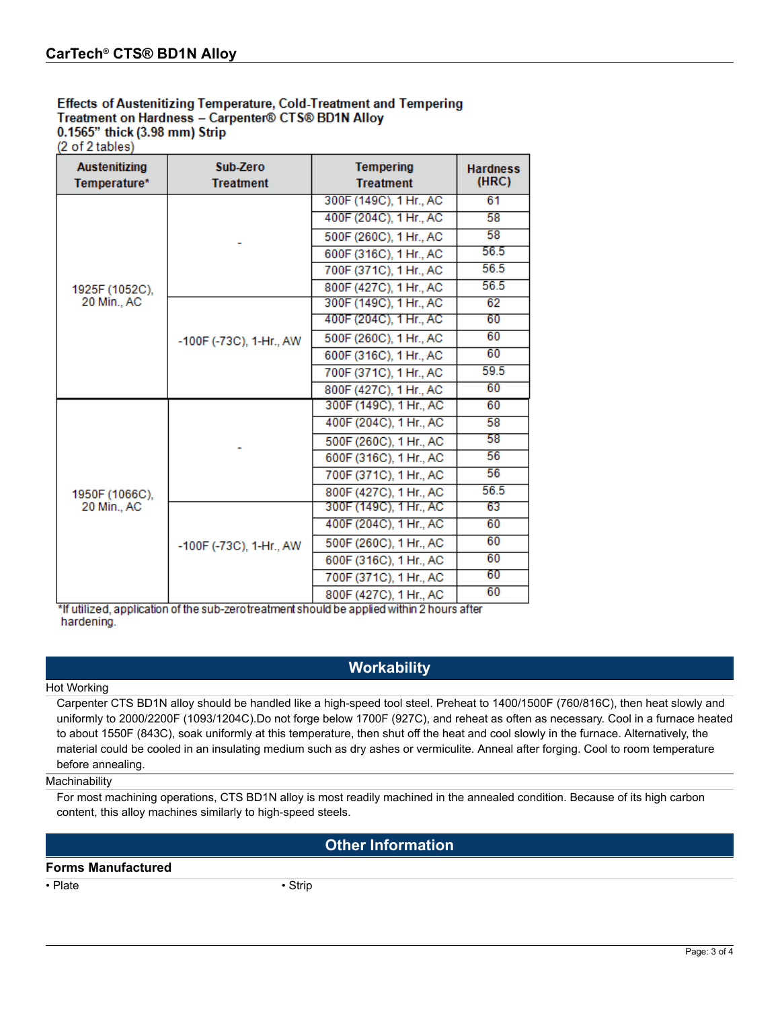# **Effects of Austenitizing Temperature, Cold-Treatment and Tempering** Treatment on Hardness - Carpenter® CTS® BD1N Alloy 0.1565" thick (3.98 mm) Strip

(2 of 2 tables)

| <b>Austenitizing</b><br>Temperature* | Sub-Zero<br><b>Treatment</b> | <b>Tempering</b><br><b>Treatment</b> | <b>Hardness</b><br>(HRC) |
|--------------------------------------|------------------------------|--------------------------------------|--------------------------|
|                                      |                              | 300F (149C), 1 Hr., AC               | 61                       |
|                                      |                              | 400F (204C), 1 Hr., AC               | 58                       |
|                                      |                              | 500F (260C), 1 Hr., AC               | 58                       |
|                                      |                              | 600F (316C), 1 Hr., AC               | 56.5                     |
|                                      |                              | 700F (371C), 1 Hr., AC               | 56.5                     |
| 1925F (1052C),                       |                              | 800F (427C), 1 Hr., AC               | 56.5                     |
| 20 Min., AC                          | -100F (-73C), 1-Hr., AW      | 300F (149C), 1 Hr., AC               | 62                       |
|                                      |                              | 400F (204C), 1 Hr., AC               | 60                       |
|                                      |                              | 500F (260C), 1 Hr., AC               | 60                       |
|                                      |                              | 600F (316C), 1 Hr., AC               | 60                       |
|                                      |                              | 700F (371C), 1 Hr., AC               | 59.5                     |
|                                      |                              | 800F (427C), 1 Hr., AC               | 60                       |
| 1950F (1066C).<br>20 Min., AC        |                              | 300F (149C), 1 Hr., AC               | 60                       |
|                                      |                              | 400F (204C), 1 Hr., AC               | 58                       |
|                                      |                              | 500F (260C), 1 Hr., AC               | 58                       |
|                                      |                              | 600F (316C), 1 Hr., AC               | 56                       |
|                                      |                              | 700F (371C), 1 Hr., AC               | 56                       |
|                                      |                              | 800F (427C), 1 Hr., AC               | 56.5                     |
|                                      | -100F (-73C), 1-Hr., AW      | 300F (149C), 1 Hr., AC               | 63                       |
|                                      |                              | 400F (204C), 1 Hr., AC               | 60                       |
|                                      |                              | 500F (260C), 1 Hr., AC               | 60                       |
|                                      |                              | 600F (316C), 1 Hr., AC               | 60                       |
|                                      |                              | 700F (371C), 1 Hr., AC               | 60                       |
|                                      |                              | 800F (427C), 1 Hr., AC               | 60                       |

\*If utilized, application of the sub-zerotreatment should be applied within 2 hours after hardening.

# **Workability**

#### Hot Working

Carpenter CTS BD1N alloy should be handled like a high-speed tool steel. Preheat to 1400/1500F (760/816C), then heat slowly and uniformly to 2000/2200F (1093/1204C).Do not forge below 1700F (927C), and reheat as often as necessary. Cool in a furnace heated to about 1550F (843C), soak uniformly at this temperature, then shut off the heat and cool slowly in the furnace. Alternatively, the material could be cooled in an insulating medium such as dry ashes or vermiculite. Anneal after forging. Cool to room temperature before annealing.

#### **Machinability**

For most machining operations, CTS BD1N alloy is most readily machined in the annealed condition. Because of its high carbon content, this alloy machines similarly to high-speed steels.

# **Other Information**

### **Forms Manufactured**

• Plate • Strip